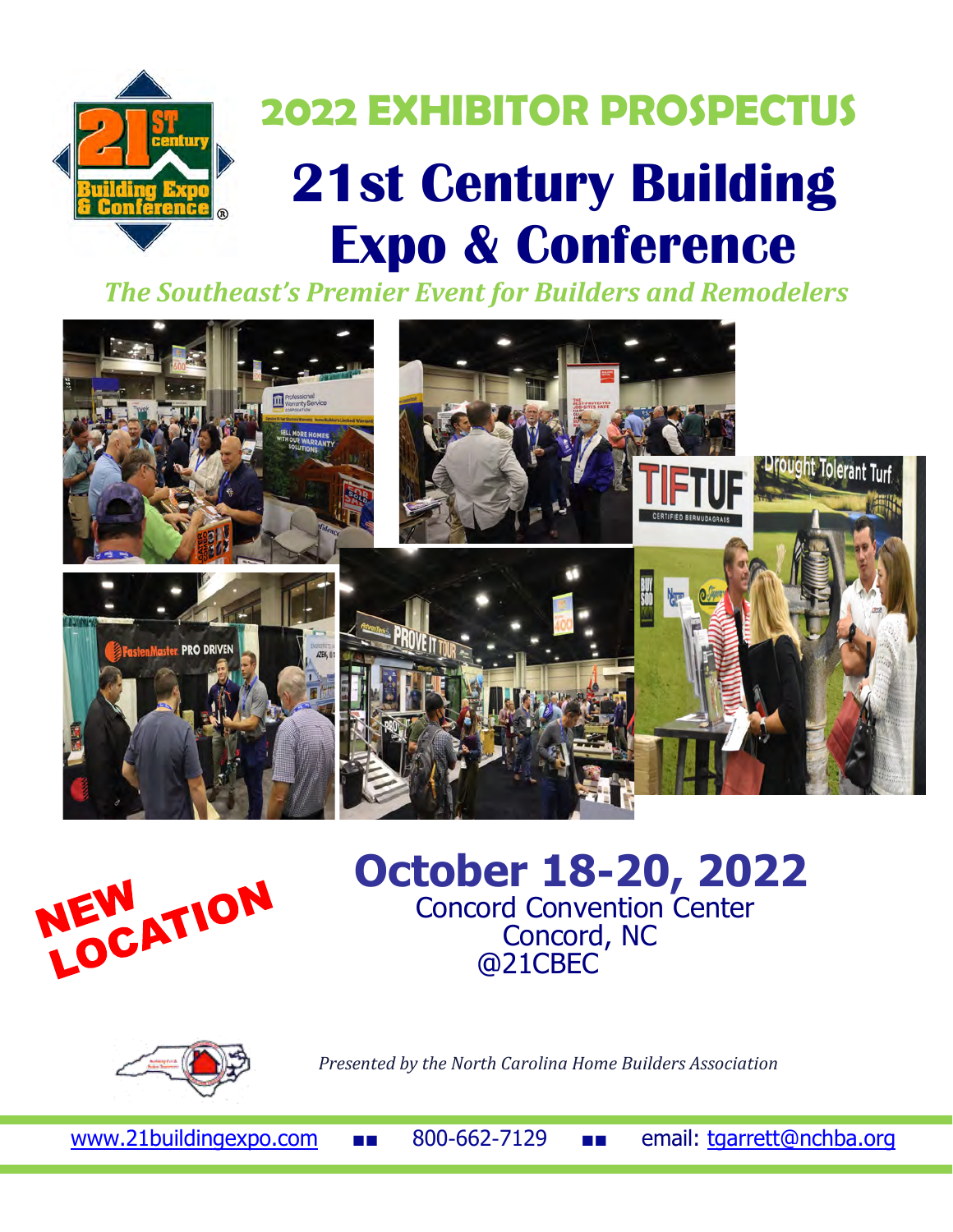

# **2022 EXHIBITOR PROSPECTUS 21st Century Building Expo & Conference**

*The Southeast's Premier Event for Builders and Remodelers*





**October 18-20, 2022** Concord Convention Center Concord, NC @21CBEC



*Presented by the North Carolina Home Builders Association*

[www.21buildingexpo.com](http://www.21buildingexpo.com) ■■ 800-662-7129 ■■ email: [tgarrett@nchba.org](mailto:tgarrett@nchba.org)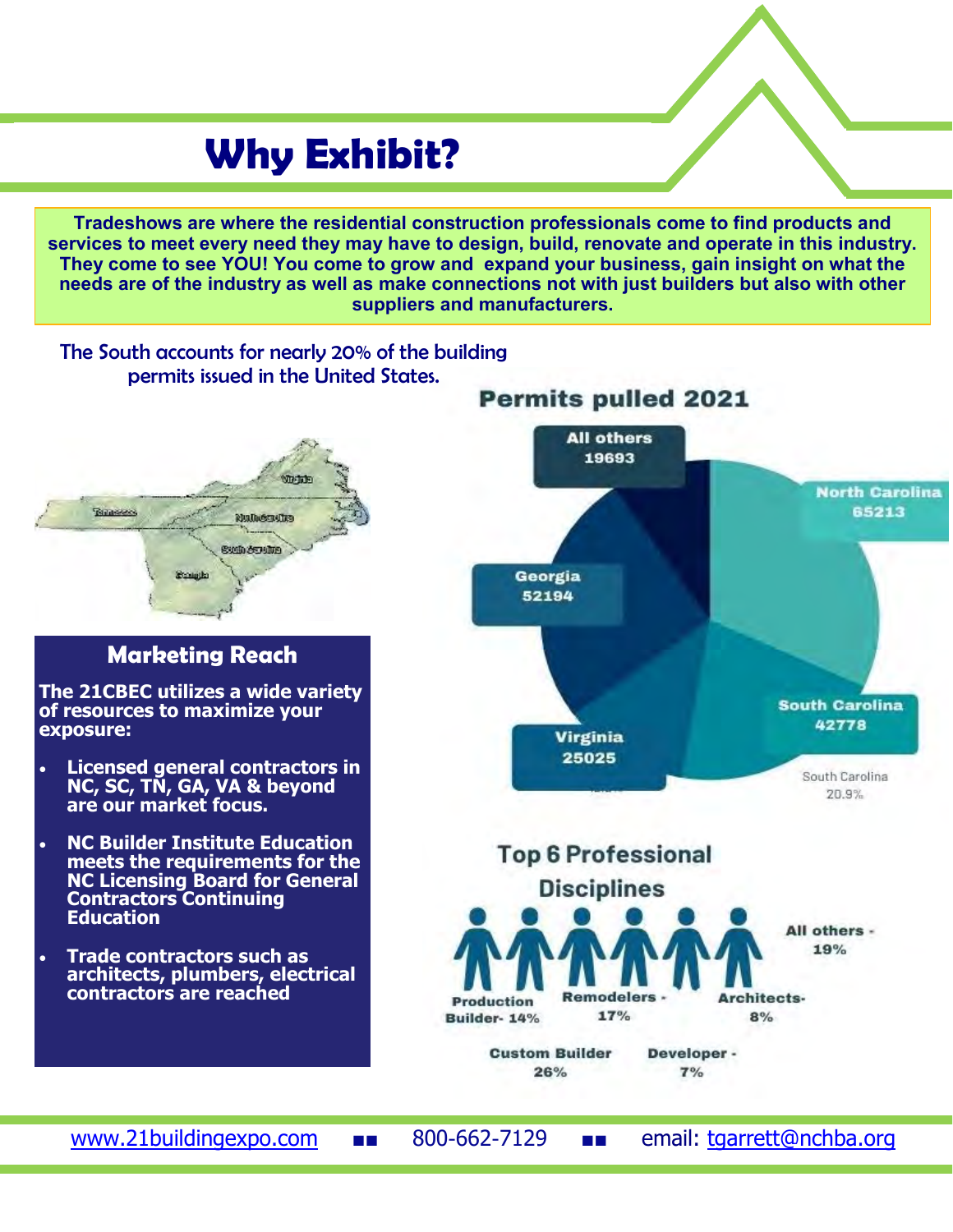# **Why Exhibit?**

**Tradeshows are where the residential construction professionals come to find products and services to meet every need they may have to design, build, renovate and operate in this industry. They come to see YOU! You come to grow and expand your business, gain insight on what the needs are of the industry as well as make connections not with just builders but also with other suppliers and manufacturers.**

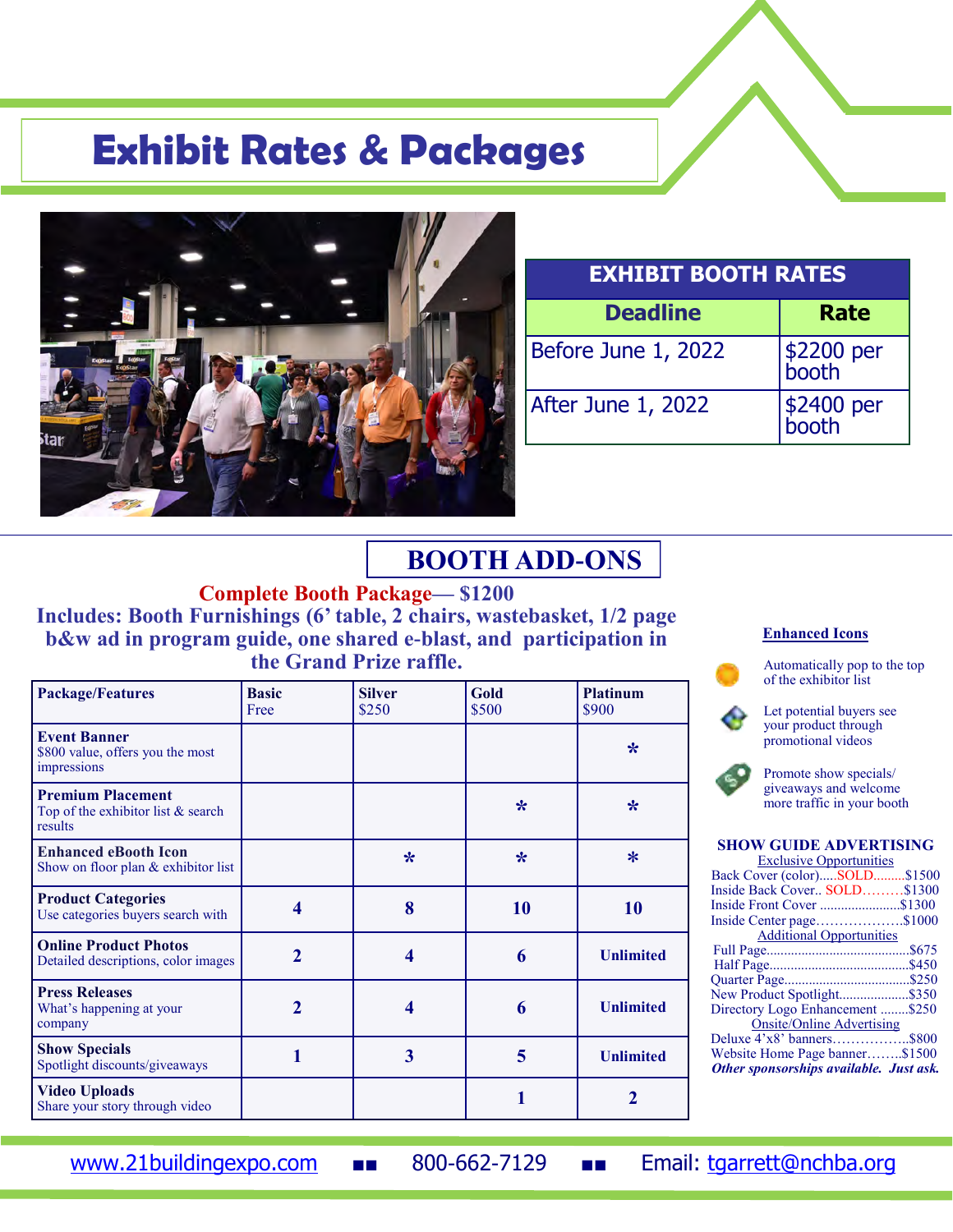### **Exhibit Rates & Packages**



| <b>EXHIBIT BOOTH RATES</b> |                     |  |
|----------------------------|---------------------|--|
| <b>Deadline</b>            | <b>Rate</b>         |  |
| Before June 1, 2022        | \$2200 per<br>booth |  |
| After June 1, 2022         | \$2400 per          |  |

### **BOOTH ADD-ONS**

#### **Complete Booth Package— \$1200 Includes: Booth Furnishings (6' table, 2 chairs, wastebasket, 1/2 page b&w ad in program guide, one shared e-blast, and participation in the Grand Prize raffle.**

| <b>Package/Features</b>                                                   | <b>Basic</b><br>Free    | <b>Silver</b><br>\$250 | Gold<br>\$500 | <b>Platinum</b><br>\$900 |
|---------------------------------------------------------------------------|-------------------------|------------------------|---------------|--------------------------|
| <b>Event Banner</b><br>\$800 value, offers you the most<br>impressions    |                         |                        |               | $\star$                  |
| <b>Premium Placement</b><br>Top of the exhibitor list & search<br>results |                         |                        | ∗             | ∗                        |
| <b>Enhanced eBooth Icon</b><br>Show on floor plan & exhibitor list        |                         | $\star$                | ∗             | $\ast$                   |
| <b>Product Categories</b><br>Use categories buyers search with            | $\overline{\mathbf{4}}$ | 8                      | 10            | 10                       |
| <b>Online Product Photos</b><br>Detailed descriptions, color images       | $\overline{2}$          | 4                      | 6             | <b>Unlimited</b>         |
| <b>Press Releases</b><br>What's happening at your<br>company              | $\overline{2}$          | 4                      | 6             | <b>Unlimited</b>         |
| <b>Show Specials</b><br>Spotlight discounts/giveaways                     |                         | 3                      | 5             | <b>Unlimited</b>         |
| <b>Video Uploads</b><br>Share your story through video                    |                         |                        |               |                          |

#### **Enhanced Icons**

Automatically pop to the top of the exhibitor list

Let potential buyers see your product through promotional videos



Promote show specials/ giveaways and welcome more traffic in your booth

#### **SHOW GUIDE ADVERTISING**

| <b>Exclusive Opportunities</b>          |  |
|-----------------------------------------|--|
| Back Cover (color)SOLD\$1500            |  |
| Inside Back Cover SOLD\$1300            |  |
| Inside Front Cover \$1300               |  |
| Inside Center page\$1000                |  |
| <b>Additional Opportunities</b>         |  |
|                                         |  |
|                                         |  |
|                                         |  |
| New Product Spotlight\$350              |  |
| Directory Logo Enhancement \$250        |  |
| <b>Onsite/Online Advertising</b>        |  |
| Deluxe 4'x8' banners\$800               |  |
| Website Home Page banner\$1500          |  |
| Other sponsorships available. Just ask. |  |
|                                         |  |

[www.21buildingexpo.com](http://www.21buildingexpo.com) ■■ 800-662-7129 ■■ Email: [tgarrett@nchba.org](mailto:tgarrett@nchba.org)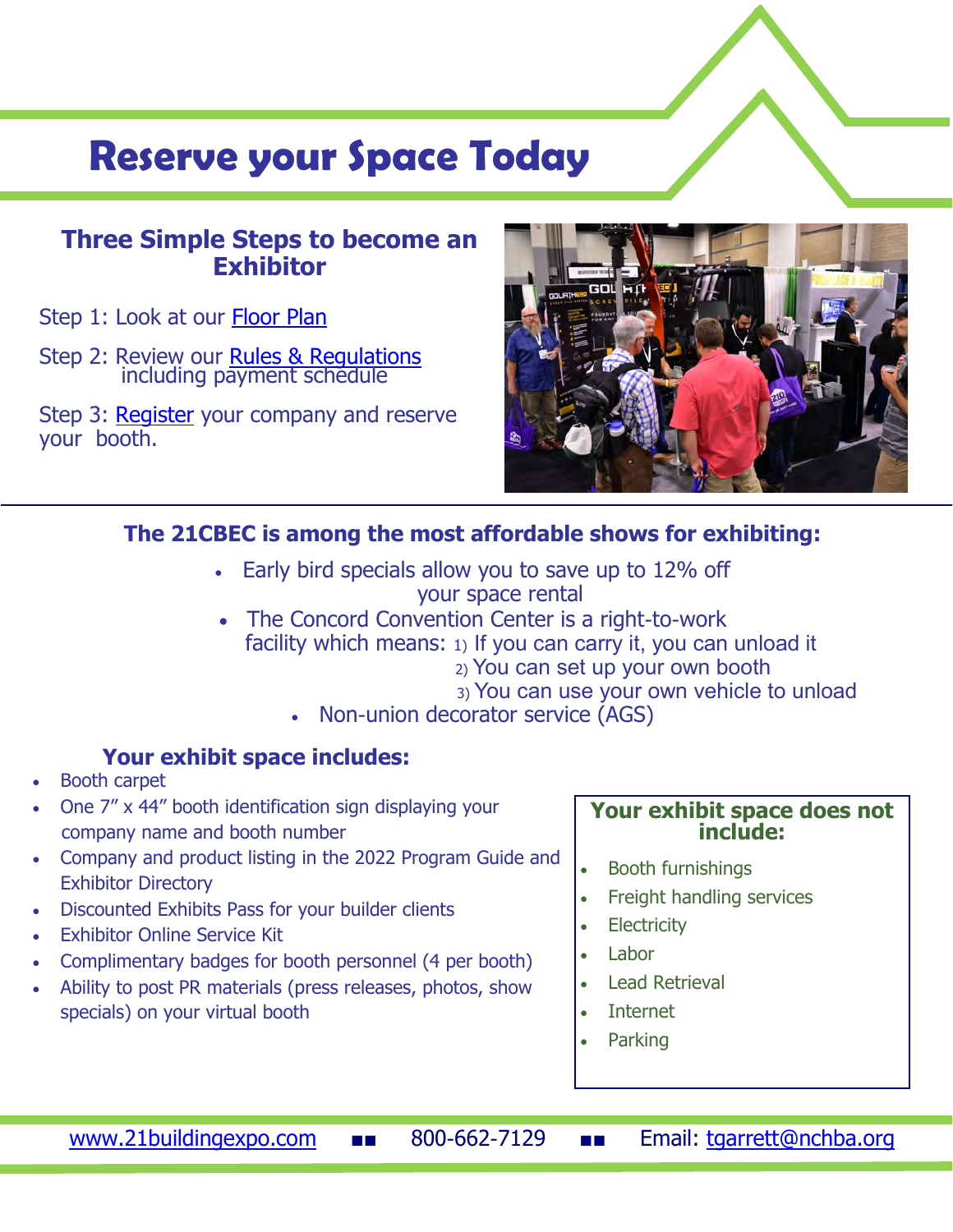# **Reserve your Space Today**

### **Three Simple Steps to become an Exhibitor**

Step 1: Look at our [Floor Plan](https://s6.goeshow.com/nchba/cbec/2022/exhibitor_sales.cfm)

Step 2: Review our [Rules & Regulations](https://21buildingexpo.com/wp-content/uploads/2022/02/RulesRegs22.pdf) including payment schedule

Step 3: [Register](https://s6.goeshow.com/nchba/cbec/2022/exhibitor_sales.cfm) your company and reserve your booth.



### **The 21CBEC is among the most affordable shows for exhibiting:**

- Early bird specials allow you to save up to 12% off your space rental
- The Concord Convention Center is a right-to-work facility which means: 1) If you can carry it, you can unload it 2) You can set up your own booth 3) You can use your own vehicle to unload
	- Non-union decorator service (AGS)

#### **Your exhibit space includes:**

- Booth carpet
- One 7" x 44" booth identification sign displaying your company name and booth number
- Company and product listing in the 2022 Program Guide and Exhibitor Directory
- Discounted Exhibits Pass for your builder clients
- **Exhibitor Online Service Kit**
- Complimentary badges for booth personnel (4 per booth)
- Ability to post PR materials (press releases, photos, show specials) on your virtual booth

#### **Your exhibit space does not include:**

- Booth furnishings
- Freight handling services
- **Electricity**
- Labor
- Lead Retrieval
- **Internet**
- **Parking**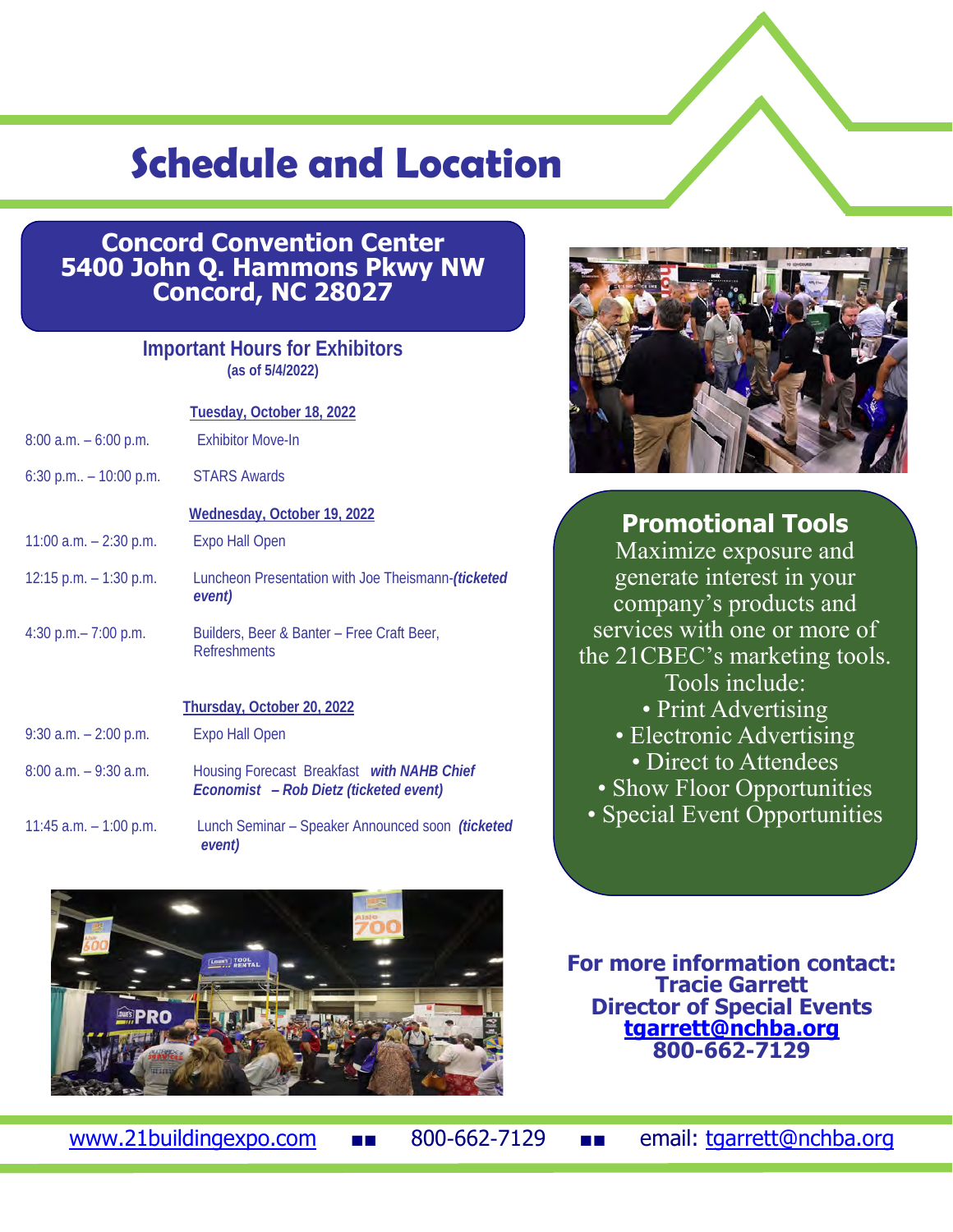# **Schedule and Location**

### **Concord Convention Center 5400 John Q. Hammons Pkwy NW Concord, NC 28027**

#### **Important Hours for Exhibitors (as of 5/4/2022)**

|                          | Tuesday, October 18, 2022                                                            |
|--------------------------|--------------------------------------------------------------------------------------|
| $8:00$ a.m. $-6:00$ p.m. | <b>Fxhibitor Move-In</b>                                                             |
| 6:30 p.m., $-10:00$ p.m. | <b>STARS Awards</b>                                                                  |
|                          | Wednesday, October 19, 2022                                                          |
| 11:00 a.m. $- 2:30$ p.m. | <b>Expo Hall Open</b>                                                                |
| 12:15 p.m. $-1:30$ p.m.  | Luncheon Presentation with Joe Theismann-(ticketed<br>event)                         |
| 4:30 p.m. $-7:00$ p.m.   | Builders, Beer & Banter – Free Craft Beer,<br><b>Refreshments</b>                    |
|                          | Thursday, October 20, 2022                                                           |
| 9:30 $a.m. - 2:00 p.m.$  | <b>Expo Hall Open</b>                                                                |
| $8:00$ a.m. $-9:30$ a.m. | Housing Forecast Breakfast with NAHB Chief<br>Economist - Rob Dietz (ticketed event) |
| 11:45 a.m. $-1:00$ p.m.  | Lunch Seminar – Speaker Announced soon (ticketed<br>event)                           |



**Promotional Tools** Maximize exposure and generate interest in your company's products and services with one or more of the 21CBEC's marketing tools. Tools include: • Print Advertising • Electronic Advertising • Direct to Attendees • Show Floor Opportunities • Special Event Opportunities



**For more information contact: Tracie Garrett Director of Special Events [tgarrett@nchba.org](mailto:tgarrett@nchba.org) 800-662-7129**

[www.21buildingexpo.com](http://www.21buildingexpo.com) ■■ 800-662-7129 ■■ email: [tgarrett@nchba.org](mailto:tgarrett@nchba.org)